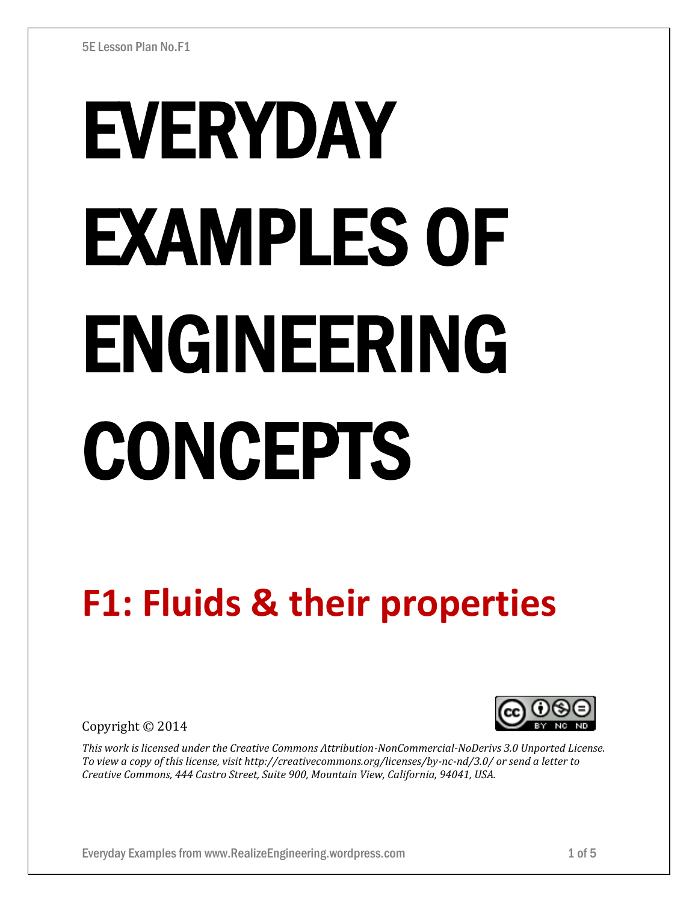# EVERYDAY EXAMPLES OF ENGINEERING CONCEPTS

# **F1: Fluids & their properties**

Copyright © 2014



*This work is licensed under the Creative Commons Attribution-NonCommercial-NoDerivs 3.0 Unported License. To view a copy of this license, visit http://creativecommons.org/licenses/by-nc-nd/3.0/ or send a letter to Creative Commons, 444 Castro Street, Suite 900, Mountain View, California, 94041, USA.*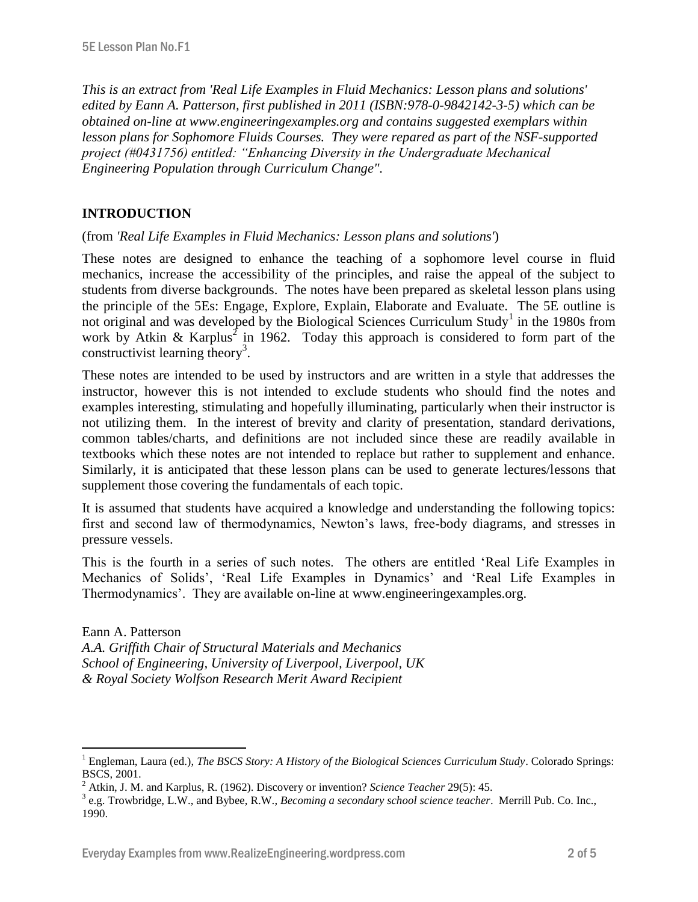*This is an extract from 'Real Life Examples in Fluid Mechanics: Lesson plans and solutions' edited by Eann A. Patterson, first published in 2011 (ISBN:978-0-9842142-3-5) which can be obtained on-line at www.engineeringexamples.org and contains suggested exemplars within lesson plans for Sophomore Fluids Courses. They were repared as part of the NSF-supported project (#0431756) entitled: "Enhancing Diversity in the Undergraduate Mechanical Engineering Population through Curriculum Change".* 

# **INTRODUCTION**

 $\overline{a}$ 

(from *'Real Life Examples in Fluid Mechanics: Lesson plans and solutions'*)

These notes are designed to enhance the teaching of a sophomore level course in fluid mechanics, increase the accessibility of the principles, and raise the appeal of the subject to students from diverse backgrounds. The notes have been prepared as skeletal lesson plans using the principle of the 5Es: Engage, Explore, Explain, Elaborate and Evaluate. The 5E outline is not original and was developed by the Biological Sciences Curriculum Study<sup>1</sup> in the 1980s from work by Atkin & Karplus<sup>2</sup> in 1962. Today this approach is considered to form part of the constructivist learning theory<sup>3</sup>.

These notes are intended to be used by instructors and are written in a style that addresses the instructor, however this is not intended to exclude students who should find the notes and examples interesting, stimulating and hopefully illuminating, particularly when their instructor is not utilizing them. In the interest of brevity and clarity of presentation, standard derivations, common tables/charts, and definitions are not included since these are readily available in textbooks which these notes are not intended to replace but rather to supplement and enhance. Similarly, it is anticipated that these lesson plans can be used to generate lectures/lessons that supplement those covering the fundamentals of each topic.

It is assumed that students have acquired a knowledge and understanding the following topics: first and second law of thermodynamics, Newton's laws, free-body diagrams, and stresses in pressure vessels.

This is the fourth in a series of such notes. The others are entitled 'Real Life Examples in Mechanics of Solids', 'Real Life Examples in Dynamics' and 'Real Life Examples in Thermodynamics'. They are available on-line at www.engineeringexamples.org.

Eann A. Patterson *A.A. Griffith Chair of Structural Materials and Mechanics School of Engineering, University of Liverpool, Liverpool, UK & Royal Society Wolfson Research Merit Award Recipient*

<sup>1</sup> Engleman, Laura (ed.), *The BSCS Story: A History of the Biological Sciences Curriculum Study*. Colorado Springs: BSCS, 2001.

<sup>2</sup> Atkin, J. M. and Karplus, R. (1962). Discovery or invention? *Science Teacher* 29(5): 45.

<sup>3</sup> e.g. Trowbridge, L.W., and Bybee, R.W., *Becoming a secondary school science teacher*. Merrill Pub. Co. Inc., 1990.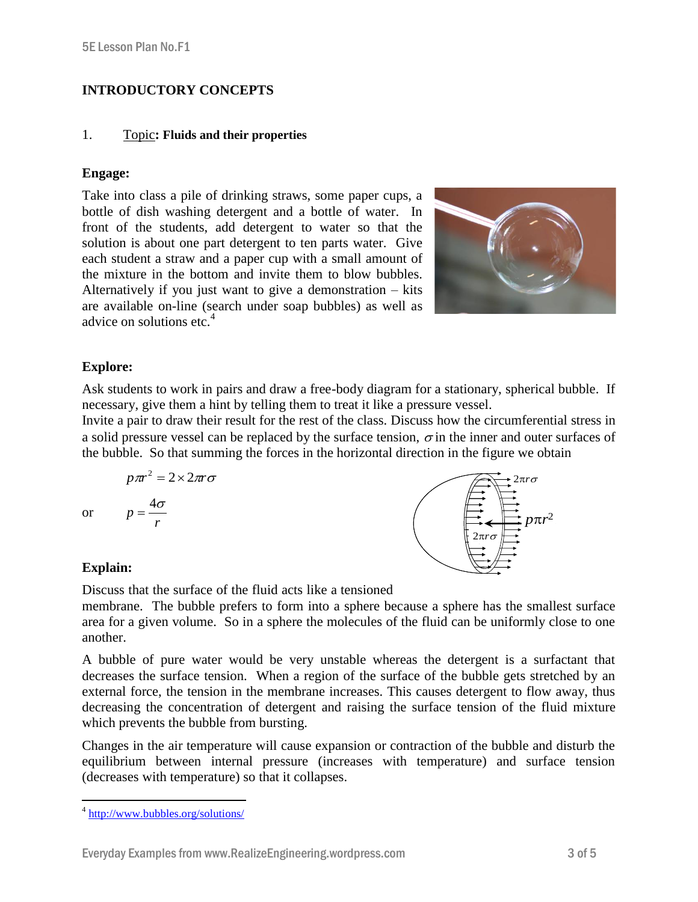# **INTRODUCTORY CONCEPTS**

#### 1. Topic**: Fluids and their properties**

#### **Engage:**

Take into class a pile of drinking straws, some paper cups, a bottle of dish washing detergent and a bottle of water. In front of the students, add detergent to water so that the solution is about one part detergent to ten parts water. Give each student a straw and a paper cup with a small amount of the mixture in the bottom and invite them to blow bubbles. Alternatively if you just want to give a demonstration – kits are available on-line (search under soap bubbles) as well as advice on solutions etc.<sup>4</sup>



# **Explore:**

Ask students to work in pairs and draw a free-body diagram for a stationary, spherical bubble. If necessary, give them a hint by telling them to treat it like a pressure vessel.

Invite a pair to draw their result for the rest of the class. Discuss how the circumferential stress in a solid pressure vessel can be replaced by the surface tension,  $\sigma$  in the inner and outer surfaces of the bubble. So that summing the forces in the horizontal direction in the figure we obtain

$$
p\pi r^2 = 2 \times 2\pi r \sigma
$$

$$
p = \frac{4\sigma}{r}
$$



# **Explain:**

or

Discuss that the surface of the fluid acts like a tensioned

membrane. The bubble prefers to form into a sphere because a sphere has the smallest surface area for a given volume. So in a sphere the molecules of the fluid can be uniformly close to one another.

A bubble of pure water would be very unstable whereas the detergent is a surfactant that decreases the surface tension. When a region of the surface of the bubble gets stretched by an external force, the tension in the membrane increases. This causes detergent to flow away, thus decreasing the concentration of detergent and raising the surface tension of the fluid mixture which prevents the bubble from bursting.

Changes in the air temperature will cause expansion or contraction of the bubble and disturb the equilibrium between internal pressure (increases with temperature) and surface tension (decreases with temperature) so that it collapses.

 $\overline{a}$ <sup>4</sup> <http://www.bubbles.org/solutions/>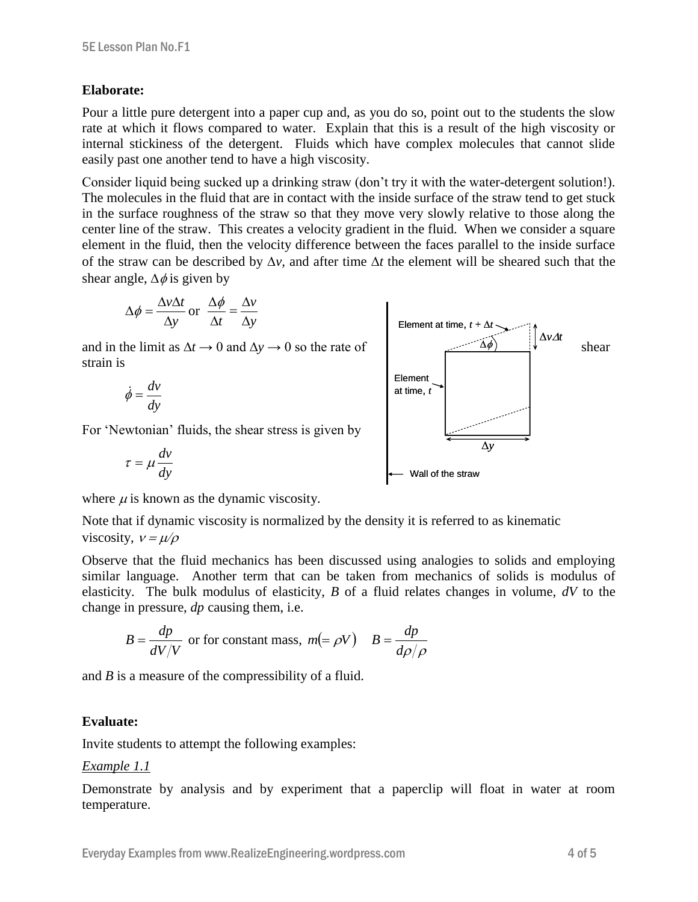#### **Elaborate:**

Pour a little pure detergent into a paper cup and, as you do so, point out to the students the slow rate at which it flows compared to water. Explain that this is a result of the high viscosity or internal stickiness of the detergent. Fluids which have complex molecules that cannot slide easily past one another tend to have a high viscosity.

Consider liquid being sucked up a drinking straw (don't try it with the water-detergent solution!). The molecules in the fluid that are in contact with the inside surface of the straw tend to get stuck in the surface roughness of the straw so that they move very slowly relative to those along the center line of the straw. This creates a velocity gradient in the fluid. When we consider a square element in the fluid, then the velocity difference between the faces parallel to the inside surface of the straw can be described by  $\Delta v$ , and after time  $\Delta t$  the element will be sheared such that the shear angle,  $\Delta\phi$  is given by

$$
\Delta \phi = \frac{\Delta v \Delta t}{\Delta y} \text{ or } \frac{\Delta \phi}{\Delta t} = \frac{\Delta v}{\Delta y}
$$

and in the limit as  $\Delta t \to 0$  and  $\Delta y \to 0$  so the rate of strain is

$$
\dot{\phi} = \frac{dv}{dy}
$$

For 'Newtonian' fluids, the shear stress is given by

$$
\tau = \mu \frac{dv}{dy}
$$



where  $\mu$  is known as the dynamic viscosity.

Note that if dynamic viscosity is normalized by the density it is referred to as kinematic viscosity,  $v = \mu/\rho$ 

Observe that the fluid mechanics has been discussed using analogies to solids and employing similar language. Another term that can be taken from mechanics of solids is modulus of elasticity. The bulk modulus of elasticity, *B* of a fluid relates changes in volume, *dV* to the change in pressure, *dp* causing them, i.e.

$$
B = \frac{dp}{dV/V}
$$
 or for constant mass,  $m(=\rho V)$   $B = \frac{dp}{d\rho/\rho}$ 

and *B* is a measure of the compressibility of a fluid.

# **Evaluate:**

Invite students to attempt the following examples:

#### *Example 1.1*

Demonstrate by analysis and by experiment that a paperclip will float in water at room temperature.